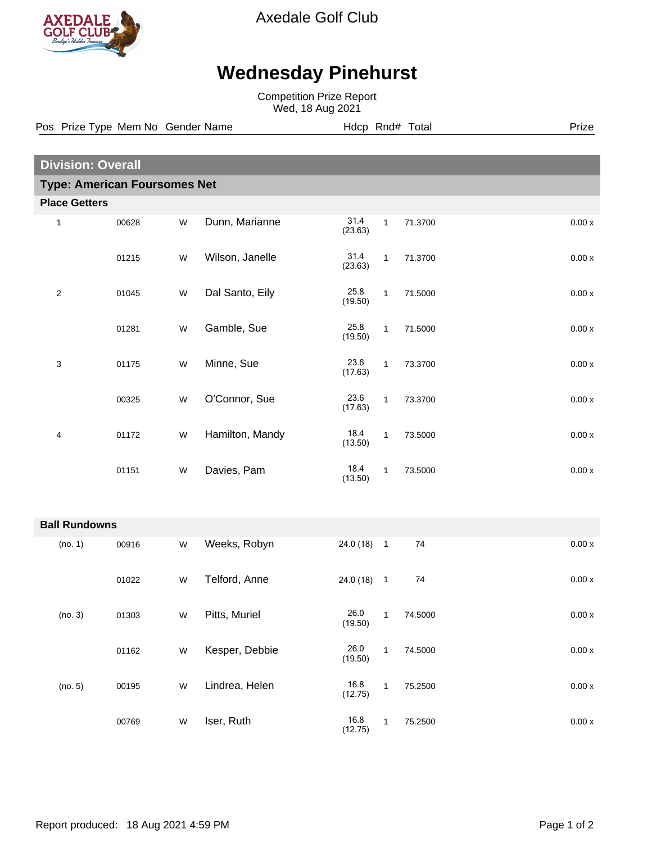

Axedale Golf Club

## **Wednesday Pinehurst**

Competition Prize Report Wed, 18 Aug 2021

**Division: Overall Type: American Foursomes Net Place Getters** 1 00628 W Dunn, Marianne 31.4 1 71.3700 0.00 x (23.63) 01215 W Wilson, Janelle 31.4 1 71.3700 0.00 x (23.63) 2 01045 W Dal Santo, Eily 25.8 1 71.5000 0.00 x (19.50) 01281 W Gamble, Sue 25.8 1 71.5000 0.00 x (19.50) 3 01175 W Minne, Sue 23.6 1 73.3700 0.00 x (17.63) 00325 W O'Connor, Sue 23.6 1 73.3700 0.00 x (17.63) 4 01172 W Hamilton, Mandy 18.4 1 73.5000 0.00 x (13.50) 01151 W Davies, Pam 18.4 1 73.5000 0.00 x (13.50) **Ball Rundowns** (no. 1) 00916 W Weeks, Robyn 24.0 (18) 1 74 0.00 x 01022 W Telford, Anne 24.0 (18) 1 74 0.00 x (no. 3) 01303 W Pitts, Muriel 26.0 1 74.5000 0.00 x (19.50) 01162 W Kesper, Debbie 26.0 1 74.5000 0.00 x (19.50) (no. 5) 00195 W Lindrea, Helen 16.8 1 75.2500 0.00 x (12.75) 00769 W Iser, Ruth 16.8 1 75.2500 0.00 x (12.75) Pos Prize Type Mem No Gender Name **Hotal Hotal Hotal Prize** Prize